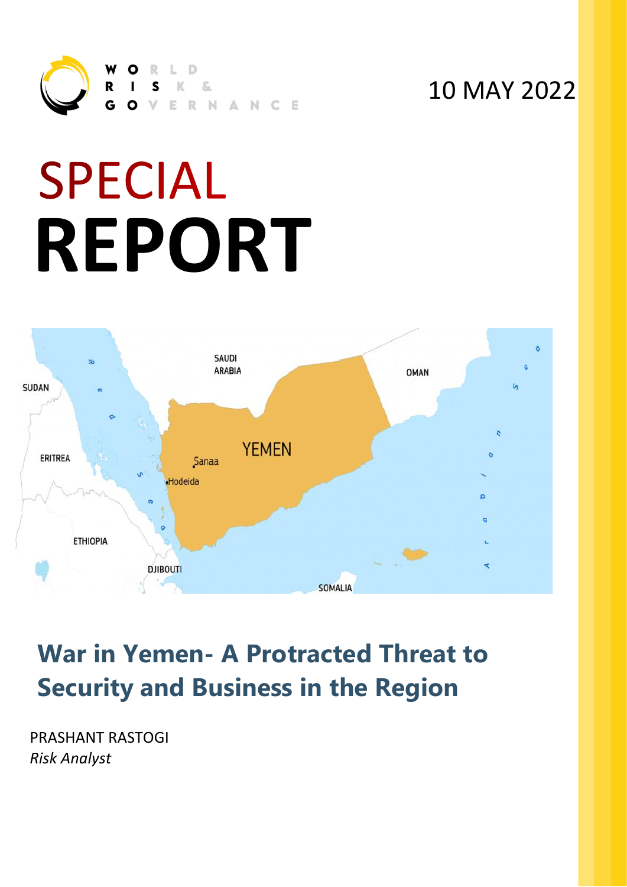

### 10 MAY 2022

# **SPECIAL REPORT**



## **War in Yemen- A Protracted Threat to Security and Business in the Region**

PRASHANT RASTOGI *Risk Analyst*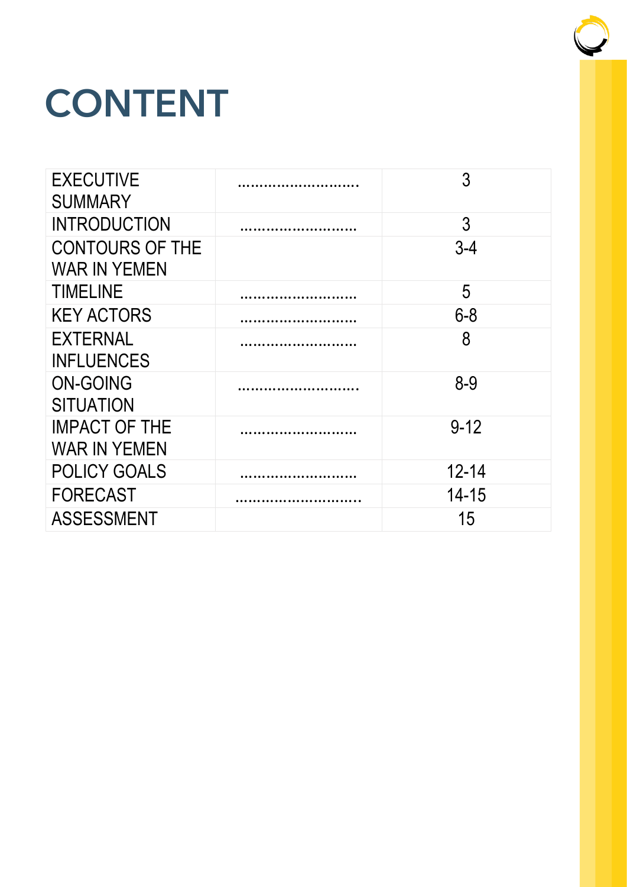## CONTENT

| <b>EXECUTIVE</b><br><b>SUMMARY</b>            | 3         |
|-----------------------------------------------|-----------|
| <b>INTRODUCTION</b>                           | 3         |
| <b>CONTOURS OF THE</b><br><b>WAR IN YEMEN</b> | $3 - 4$   |
| <b>TIMELINE</b>                               | 5         |
| <b>KEY ACTORS</b>                             | $6 - 8$   |
| <b>EXTERNAL</b><br><b>INFLUENCES</b>          | 8         |
| <b>ON-GOING</b><br><b>SITUATION</b>           | $8 - 9$   |
| <b>IMPACT OF THE</b><br><b>WAR IN YEMEN</b>   | $9 - 12$  |
| <b>POLICY GOALS</b>                           | $12 - 14$ |
| <b>FORECAST</b>                               | $14 - 15$ |
| <b>ASSESSMENT</b>                             | 15        |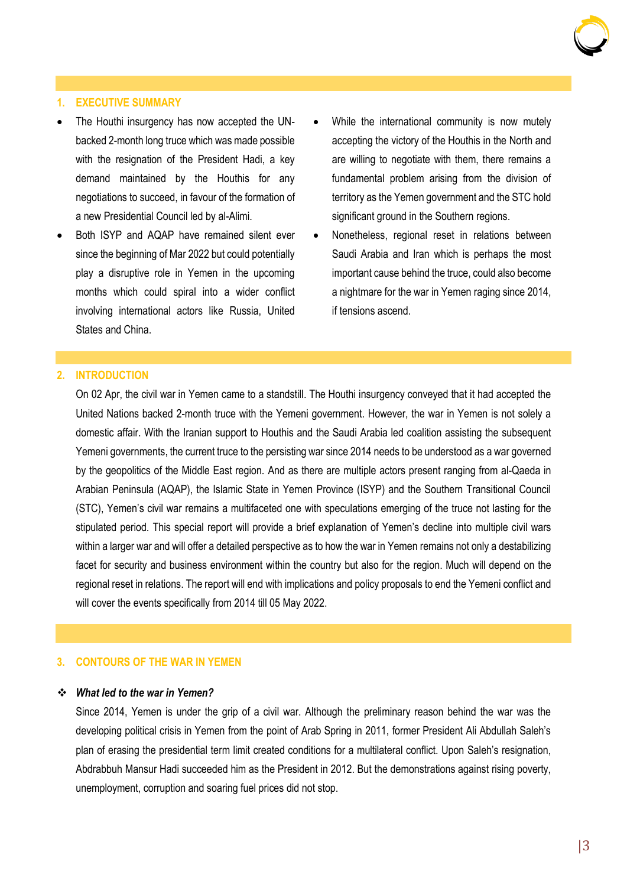

#### **1. EXECUTIVE SUMMARY**

- The Houthi insurgency has now accepted the UNbacked 2-month long truce which was made possible with the resignation of the President Hadi, a key demand maintained by the Houthis for any negotiations to succeed, in favour of the formation of a new Presidential Council led by al-Alimi.
- Both ISYP and AQAP have remained silent ever since the beginning of Mar 2022 but could potentially play a disruptive role in Yemen in the upcoming months which could spiral into a wider conflict involving international actors like Russia, United States and China.
- While the international community is now mutely accepting the victory of the Houthis in the North and are willing to negotiate with them, there remains a fundamental problem arising from the division of territory as the Yemen government and the STC hold significant ground in the Southern regions.
- Nonetheless, regional reset in relations between Saudi Arabia and Iran which is perhaps the most important cause behind the truce, could also become a nightmare for the war in Yemen raging since 2014, if tensions ascend.

#### **2. INTRODUCTION**

On 02 Apr, the civil war in Yemen came to a standstill. The Houthi insurgency conveyed that it had accepted the United Nations backed 2-month truce with the Yemeni government. However, the war in Yemen is not solely a domestic affair. With the Iranian support to Houthis and the Saudi Arabia led coalition assisting the subsequent Yemeni governments, the current truce to the persisting war since 2014 needs to be understood as a war governed by the geopolitics of the Middle East region. And as there are multiple actors present ranging from al-Qaeda in Arabian Peninsula (AQAP), the Islamic State in Yemen Province (ISYP) and the Southern Transitional Council (STC), Yemen's civil war remains a multifaceted one with speculations emerging of the truce not lasting for the stipulated period. This special report will provide a brief explanation of Yemen's decline into multiple civil wars within a larger war and will offer a detailed perspective as to how the war in Yemen remains not only a destabilizing facet for security and business environment within the country but also for the region. Much will depend on the regional reset in relations. The report will end with implications and policy proposals to end the Yemeni conflict and will cover the events specifically from 2014 till 05 May 2022.

#### **3. CONTOURS OF THE WAR IN YEMEN**

#### ❖ *What led to the war in Yemen?*

Since 2014, Yemen is under the grip of a civil war. Although the preliminary reason behind the war was the developing political crisis in Yemen from the point of Arab Spring in 2011, former President Ali Abdullah Saleh's plan of erasing the presidential term limit created conditions for a multilateral conflict. Upon Saleh's resignation, Abdrabbuh Mansur Hadi succeeded him as the President in 2012. But the demonstrations against rising poverty, unemployment, corruption and soaring fuel prices did not stop.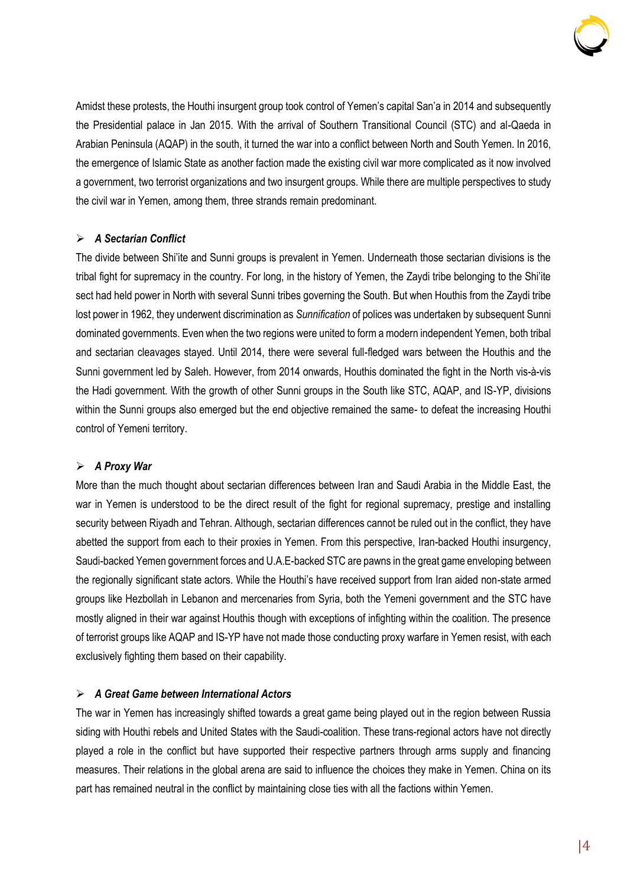

Amidst these protests, the Houthi insurgent group took control of Yemen's capital San'a in 2014 and subsequently the Presidential palace in Jan 2015. With the arrival of Southern Transitional Council (STC) and al-Qaeda in Arabian Peninsula (AQAP) in the south, it turned the war into a conflict between North and South Yemen. In 2016, the emergence of Islamic State as another faction made the existing civil war more complicated as it now involved a government, two terrorist organizations and two insurgent groups. While there are multiple perspectives to study the civil war in Yemen, among them, three strands remain predominant.

#### ➢ *A Sectarian Conflict*

The divide between Shi'ite and Sunni groups is prevalent in Yemen. Underneath those sectarian divisions is the tribal fight for supremacy in the country. For long, in the history of Yemen, the Zaydi tribe belonging to the Shi'ite sect had held power in North with several Sunni tribes governing the South. But when Houthis from the Zaydi tribe lost power in 1962, they underwent discrimination as *Sunnification* of polices was undertaken by subsequent Sunni dominated governments. Even when the two regions were united to form a modern independent Yemen, both tribal and sectarian cleavages stayed. Until 2014, there were several full-fledged wars between the Houthis and the Sunni government led by Saleh. However, from 2014 onwards, Houthis dominated the fight in the North vis-à-vis the Hadi government. With the growth of other Sunni groups in the South like STC, AQAP, and IS-YP, divisions within the Sunni groups also emerged but the end objective remained the same- to defeat the increasing Houthi control of Yemeni territory.

#### ➢ *A Proxy War*

More than the much thought about sectarian differences between Iran and Saudi Arabia in the Middle East, the war in Yemen is understood to be the direct result of the fight for regional supremacy, prestige and installing security between Riyadh and Tehran. Although, sectarian differences cannot be ruled out in the conflict, they have abetted the support from each to their proxies in Yemen. From this perspective, Iran-backed Houthi insurgency, Saudi-backed Yemen government forces and U.A.E-backed STC are pawns in the great game enveloping between the regionally significant state actors. While the Houthi's have received support from Iran aided non-state armed groups like Hezbollah in Lebanon and mercenaries from Syria, both the Yemeni government and the STC have mostly aligned in their war against Houthis though with exceptions of infighting within the coalition. The presence of terrorist groups like AQAP and IS-YP have not made those conducting proxy warfare in Yemen resist, with each exclusively fighting them based on their capability.

#### ➢ *A Great Game between International Actors*

The war in Yemen has increasingly shifted towards a great game being played out in the region between Russia siding with Houthi rebels and United States with the Saudi-coalition. These trans-regional actors have not directly played a role in the conflict but have supported their respective partners through arms supply and financing measures. Their relations in the global arena are said to influence the choices they make in Yemen. China on its part has remained neutral in the conflict by maintaining close ties with all the factions within Yemen.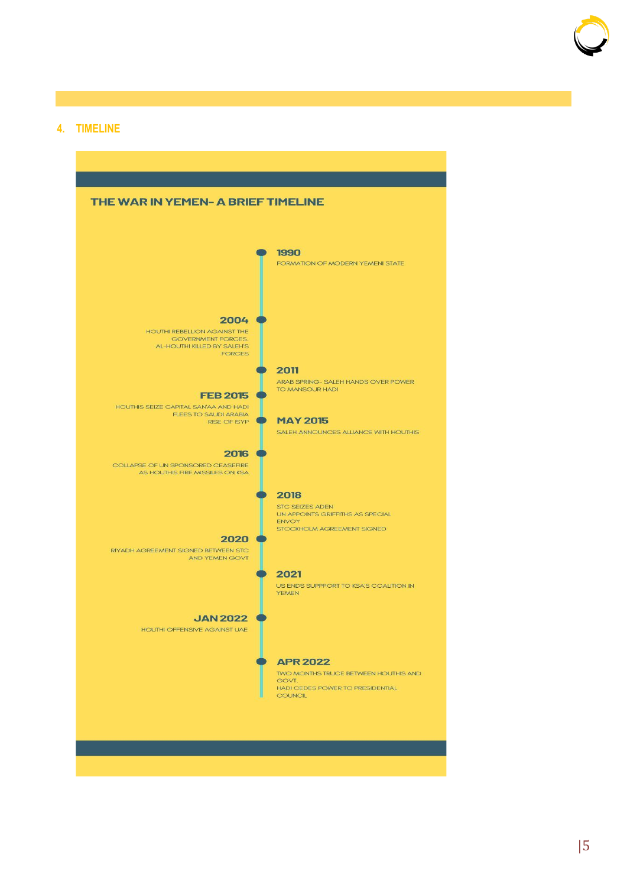

#### **4. TIMELINE**

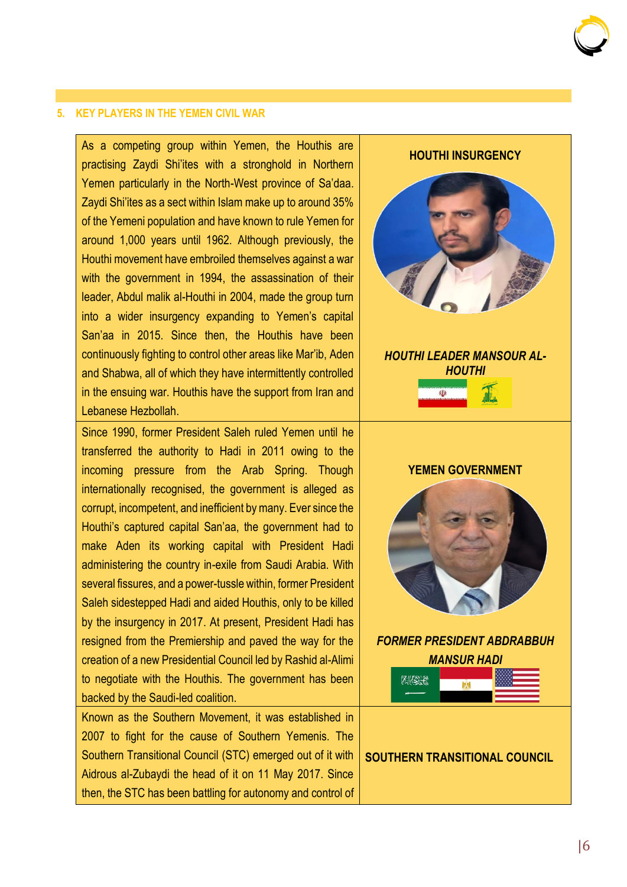#### **5. KEY PLAYERS IN THE YEMEN CIVIL WAR**

As a competing group within Yemen, the Houthis are practising Zaydi Shi'ites with a stronghold in Northern Yemen particularly in the North-West province of Sa'daa. Zaydi Shi'ites as a sect within Islam make up to around 35% of the Yemeni population and have known to rule Yemen for around 1,000 years until 1962. Although previously, the Houthi movement have embroiled themselves against a war with the government in 1994, the assassination of their leader, Abdul malik al-Houthi in 2004, made the group turn into a wider insurgency expanding to Yemen's capital San'aa in 2015. Since then, the Houthis have been continuously fighting to control other areas like Mar'ib, Aden and Shabwa, all of which they have intermittently controlled in the ensuing war. Houthis have the support from Iran and Lebanese Hezbollah.

Since 1990, former President Saleh ruled Yemen until he transferred the authority to Hadi in 2011 owing to the incoming pressure from the Arab Spring. Though internationally recognised, the government is alleged as corrupt, incompetent, and inefficient by many. Ever since the Houthi's captured capital San'aa, the government had to make Aden its working capital with President Hadi administering the country in-exile from Saudi Arabia. With several fissures, and a power-tussle within, former President Saleh sidestepped Hadi and aided Houthis, only to be killed by the insurgency in 2017. At present, President Hadi has resigned from the Premiership and paved the way for the creation of a new Presidential Council led by Rashid al-Alimi to negotiate with the Houthis. The government has been backed by the Saudi-led coalition.

Known as the Southern Movement, it was established in 2007 to fight for the cause of Southern Yemenis. The Southern Transitional Council (STC) emerged out of it with Aidrous al-Zubaydi the head of it on 11 May 2017. Since then, the STC has been battling for autonomy and control of

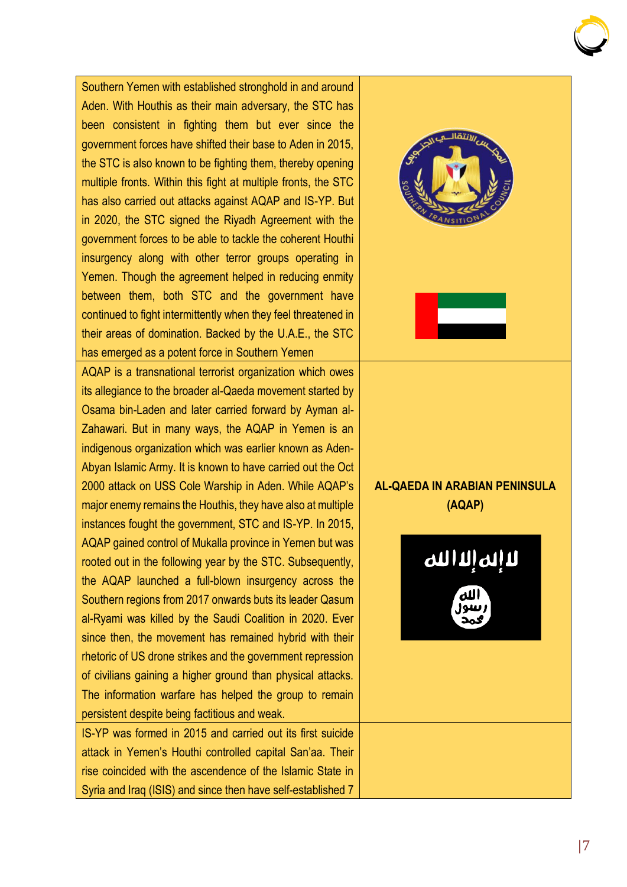Southern Yemen with established stronghold in and around Aden. With Houthis as their main adversary, the STC has been consistent in fighting them but ever since the government forces have shifted their base to Aden in 2015, the STC is also known to be fighting them, thereby opening multiple fronts. Within this fight at multiple fronts, the STC has also carried out attacks against AQAP and IS-YP. But in 2020, the STC signed the Riyadh Agreement with the government forces to be able to tackle the coherent Houthi insurgency along with other terror groups operating in Yemen. Though the agreement helped in reducing enmity between them, both STC and the government have continued to fight intermittently when they feel threatened in their areas of domination. Backed by the U.A.E., the STC has emerged as a potent force in Southern Yemen AQAP is a transnational terrorist organization which owes its allegiance to the broader al-Qaeda movement started by Osama bin-Laden and later carried forward by Ayman al-Zahawari. But in many ways, the AQAP in Yemen is an indigenous organization which was earlier known as Aden-Abyan Islamic Army. It is known to have carried out the Oct **AL-QAEDA IN ARABIAN PENINSULA**  2000 attack on USS Cole Warship in Aden. While AQAP's major enemy remains the Houthis, they have also at multiple **(AQAP)** instances fought the government, STC and IS-YP. In 2015, AQAP gained control of Mukalla province in Yemen but was الم الله الله rooted out in the following year by the STC. Subsequently, the AQAP launched a full-blown insurgency across the Southern regions from 2017 onwards buts its leader Qasum al-Ryami was killed by the Saudi Coalition in 2020. Ever since then, the movement has remained hybrid with their rhetoric of US drone strikes and the government repression of civilians gaining a higher ground than physical attacks. The information warfare has helped the group to remain persistent despite being factitious and weak. IS-YP was formed in 2015 and carried out its first suicide attack in Yemen's Houthi controlled capital San'aa. Their rise coincided with the ascendence of the Islamic State in

Syria and Iraq (ISIS) and since then have self-established 7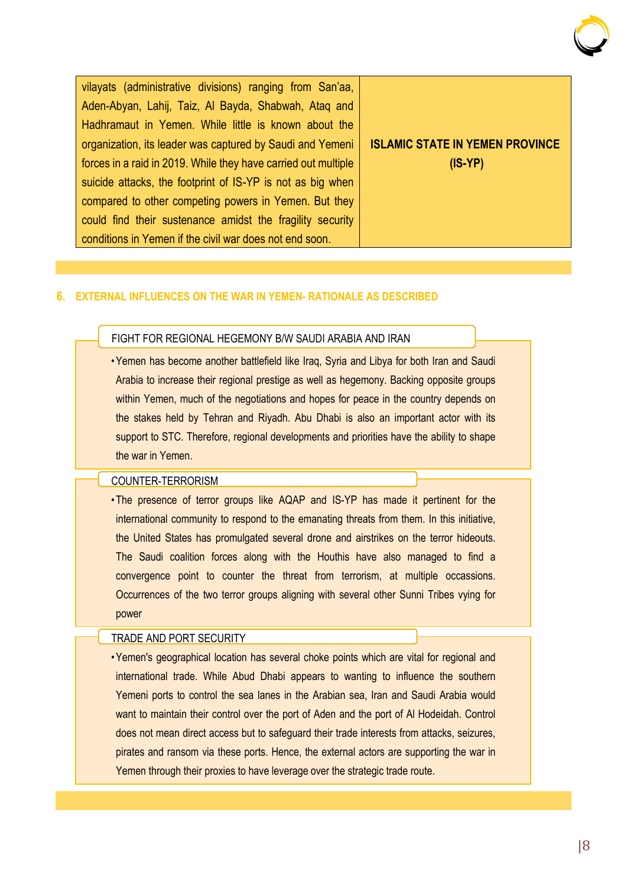

vilayats (administrative divisions) ranging from San'aa, Aden-Abyan, Lahij, Taiz, Al Bayda, Shabwah, Ataq and Hadhramaut in Yemen. While little is known about the organization, its leader was captured by Saudi and Yemeni forces in a raid in 2019. While they have carried out multiple suicide attacks, the footprint of IS-YP is not as big when compared to other competing powers in Yemen. But they could find their sustenance amidst the fragility security conditions in Yemen if the civil war does not end soon.

#### **ISLAMIC STATE IN YEMEN PROVINCE (IS-YP)**

#### **6. EXTERNAL INFLUENCES ON THE WAR IN YEMEN- RATIONALE AS DESCRIBED**

#### FIGHT FOR REGIONAL HEGEMONY B/W SAUDI ARABIA AND IRAN

•Yemen has become another battlefield like Iraq, Syria and Libya for both Iran and Saudi Arabia to increase their regional prestige as well as hegemony. Backing opposite groups within Yemen, much of the negotiations and hopes for peace in the country depends on the stakes held by Tehran and Riyadh. Abu Dhabi is also an important actor with its support to STC. Therefore, regional developments and priorities have the ability to shape the war in Yemen.

#### COUNTER-TERRORISM

• The presence of terror groups like AQAP and IS-YP has made it pertinent for the international community to respond to the emanating threats from them. In this initiative, the United States has promulgated several drone and airstrikes on the terror hideouts. The Saudi coalition forces along with the Houthis have also managed to find a convergence point to counter the threat from terrorism, at multiple occassions. Occurrences of the two terror groups aligning with several other Sunni Tribes vying for power

#### TRADE AND PORT SECURITY

•Yemen's geographical location has several choke points which are vital for regional and international trade. While Abud Dhabi appears to wanting to influence the southern Yemeni ports to control the sea lanes in the Arabian sea, Iran and Saudi Arabia would want to maintain their control over the port of Aden and the port of Al Hodeidah. Control does not mean direct access but to safeguard their trade interests from attacks, seizures, pirates and ransom via these ports. Hence, the external actors are supporting the war in Yemen through their proxies to have leverage over the strategic trade route.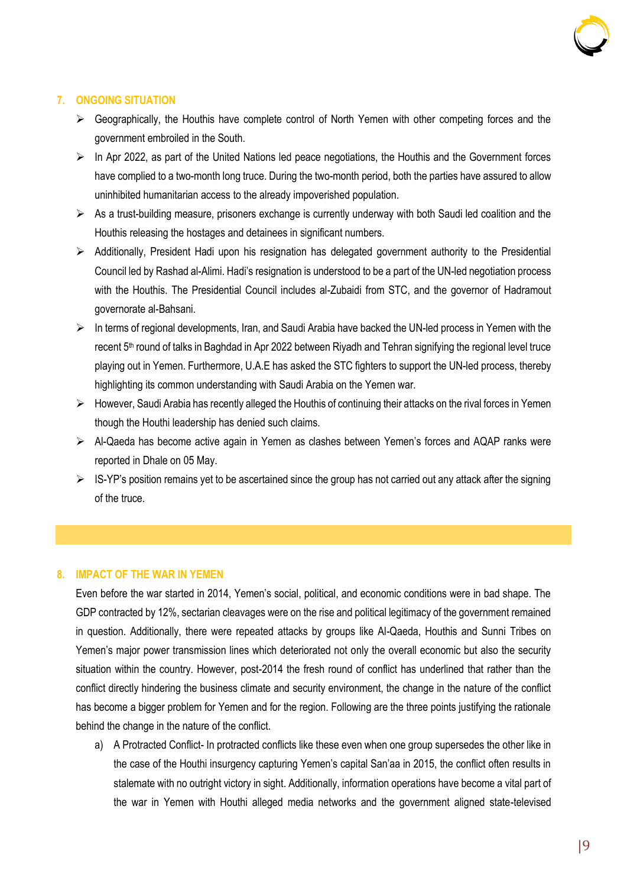

#### **7. ONGOING SITUATION**

- ➢ Geographically, the Houthis have complete control of North Yemen with other competing forces and the government embroiled in the South.
- $\triangleright$  In Apr 2022, as part of the United Nations led peace negotiations, the Houthis and the Government forces have complied to a two-month long truce. During the two-month period, both the parties have assured to allow uninhibited humanitarian access to the already impoverished population.
- $\triangleright$  As a trust-building measure, prisoners exchange is currently underway with both Saudi led coalition and the Houthis releasing the hostages and detainees in significant numbers.
- ➢ Additionally, President Hadi upon his resignation has delegated government authority to the Presidential Council led by Rashad al-Alimi. Hadi's resignation is understood to be a part of the UN-led negotiation process with the Houthis. The Presidential Council includes al-Zubaidi from STC, and the governor of Hadramout governorate al-Bahsani.
- ➢ In terms of regional developments, Iran, and Saudi Arabia have backed the UN-led process in Yemen with the recent 5<sup>th</sup> round of talks in Baghdad in Apr 2022 between Riyadh and Tehran signifying the regional level truce playing out in Yemen. Furthermore, U.A.E has asked the STC fighters to support the UN-led process, thereby highlighting its common understanding with Saudi Arabia on the Yemen war.
- ➢ However, Saudi Arabia has recently alleged the Houthis of continuing their attacks on the rival forces in Yemen though the Houthi leadership has denied such claims.
- ➢ Al-Qaeda has become active again in Yemen as clashes between Yemen's forces and AQAP ranks were reported in Dhale on 05 May.
- $\triangleright$  IS-YP's position remains vet to be ascertained since the group has not carried out any attack after the signing of the truce.

#### **8. IMPACT OF THE WAR IN YEMEN**

Even before the war started in 2014, Yemen's social, political, and economic conditions were in bad shape. The GDP contracted by 12%, sectarian cleavages were on the rise and political legitimacy of the government remained in question. Additionally, there were repeated attacks by groups like Al-Qaeda, Houthis and Sunni Tribes on Yemen's major power transmission lines which deteriorated not only the overall economic but also the security situation within the country. However, post-2014 the fresh round of conflict has underlined that rather than the conflict directly hindering the business climate and security environment, the change in the nature of the conflict has become a bigger problem for Yemen and for the region. Following are the three points justifying the rationale behind the change in the nature of the conflict.

a) A Protracted Conflict- In protracted conflicts like these even when one group supersedes the other like in the case of the Houthi insurgency capturing Yemen's capital San'aa in 2015, the conflict often results in stalemate with no outright victory in sight. Additionally, information operations have become a vital part of the war in Yemen with Houthi alleged media networks and the government aligned state-televised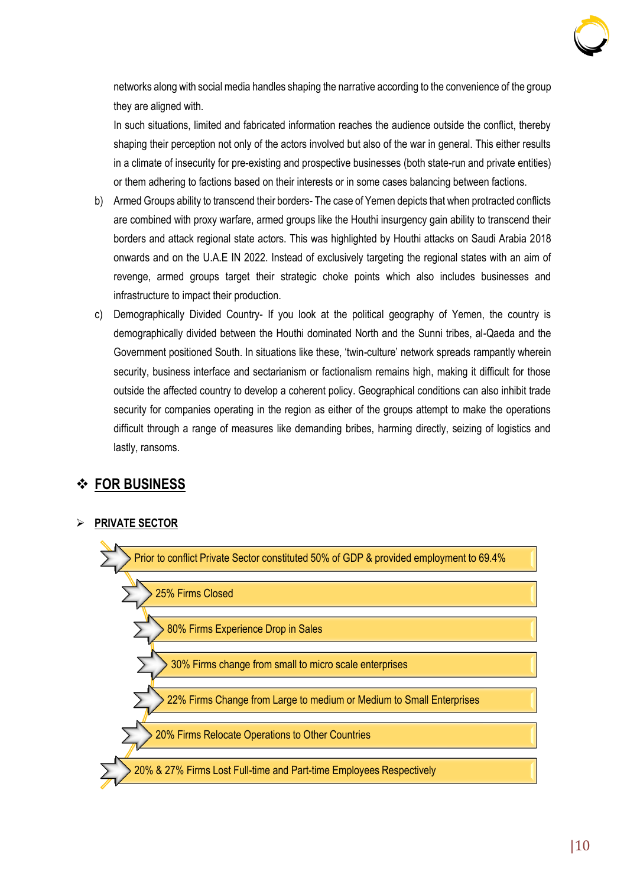

networks along with social media handles shaping the narrative according to the convenience of the group they are aligned with.

In such situations, limited and fabricated information reaches the audience outside the conflict, thereby shaping their perception not only of the actors involved but also of the war in general. This either results in a climate of insecurity for pre-existing and prospective businesses (both state-run and private entities) or them adhering to factions based on their interests or in some cases balancing between factions.

- b) Armed Groups ability to transcend their borders- The case of Yemen depicts that when protracted conflicts are combined with proxy warfare, armed groups like the Houthi insurgency gain ability to transcend their borders and attack regional state actors. This was highlighted by Houthi attacks on Saudi Arabia 2018 onwards and on the U.A.E IN 2022. Instead of exclusively targeting the regional states with an aim of revenge, armed groups target their strategic choke points which also includes businesses and infrastructure to impact their production.
- c) Demographically Divided Country- If you look at the political geography of Yemen, the country is demographically divided between the Houthi dominated North and the Sunni tribes, al-Qaeda and the Government positioned South. In situations like these, 'twin-culture' network spreads rampantly wherein security, business interface and sectarianism or factionalism remains high, making it difficult for those outside the affected country to develop a coherent policy. Geographical conditions can also inhibit trade security for companies operating in the region as either of the groups attempt to make the operations difficult through a range of measures like demanding bribes, harming directly, seizing of logistics and lastly, ransoms.

#### ❖ **FOR BUSINESS**

#### ➢ **PRIVATE SECTOR**

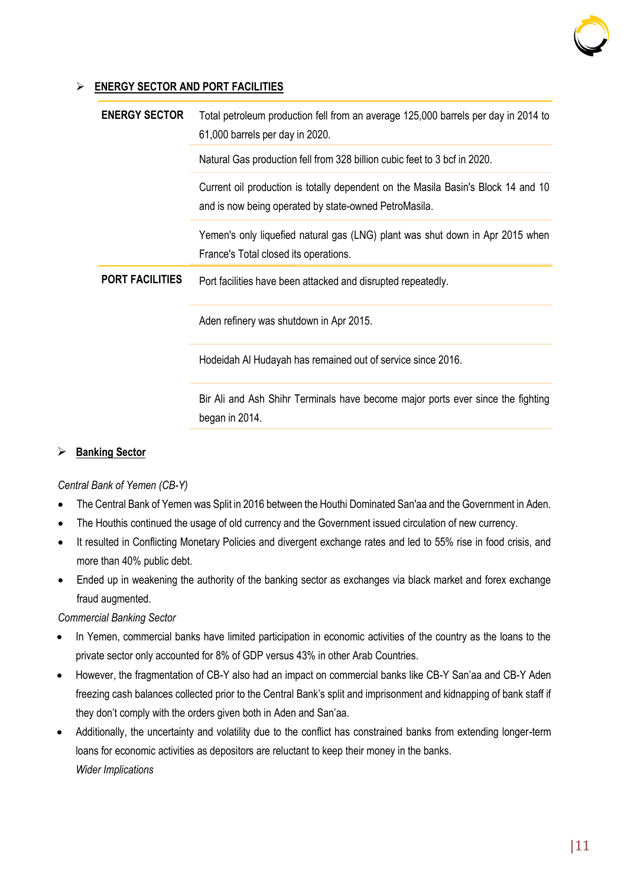

#### ➢ **ENERGY SECTOR AND PORT FACILITIES**

| <b>ENERGY SECTOR</b>   | Total petroleum production fell from an average 125,000 barrels per day in 2014 to<br>61,000 barrels per day in 2020.                      |  |
|------------------------|--------------------------------------------------------------------------------------------------------------------------------------------|--|
|                        | Natural Gas production fell from 328 billion cubic feet to 3 bcf in 2020.                                                                  |  |
|                        | Current oil production is totally dependent on the Masila Basin's Block 14 and 10<br>and is now being operated by state-owned PetroMasila. |  |
|                        | Yemen's only liquefied natural gas (LNG) plant was shut down in Apr 2015 when<br>France's Total closed its operations.                     |  |
| <b>PORT FACILITIES</b> | Port facilities have been attacked and disrupted repeatedly.                                                                               |  |
|                        | Aden refinery was shutdown in Apr 2015.                                                                                                    |  |
|                        | Hodeidah AI Hudayah has remained out of service since 2016.                                                                                |  |
|                        | Bir Ali and Ash Shihr Terminals have become major ports ever since the fighting<br>began in 2014.                                          |  |

#### ➢ **Banking Sector**

#### *Central Bank of Yemen (CB-Y)*

- The Central Bank of Yemen was Split in 2016 between the Houthi Dominated San'aa and the Government in Aden.
- The Houthis continued the usage of old currency and the Government issued circulation of new currency.
- It resulted in Conflicting Monetary Policies and divergent exchange rates and led to 55% rise in food crisis, and more than 40% public debt.
- Ended up in weakening the authority of the banking sector as exchanges via black market and forex exchange fraud augmented.

#### *Commercial Banking Sector*

- In Yemen, commercial banks have limited participation in economic activities of the country as the loans to the private sector only accounted for 8% of GDP versus 43% in other Arab Countries.
- However, the fragmentation of CB-Y also had an impact on commercial banks like CB-Y San'aa and CB-Y Aden freezing cash balances collected prior to the Central Bank's split and imprisonment and kidnapping of bank staff if they don't comply with the orders given both in Aden and San'aa.
- Additionally, the uncertainty and volatility due to the conflict has constrained banks from extending longer-term loans for economic activities as depositors are reluctant to keep their money in the banks. *Wider Implications*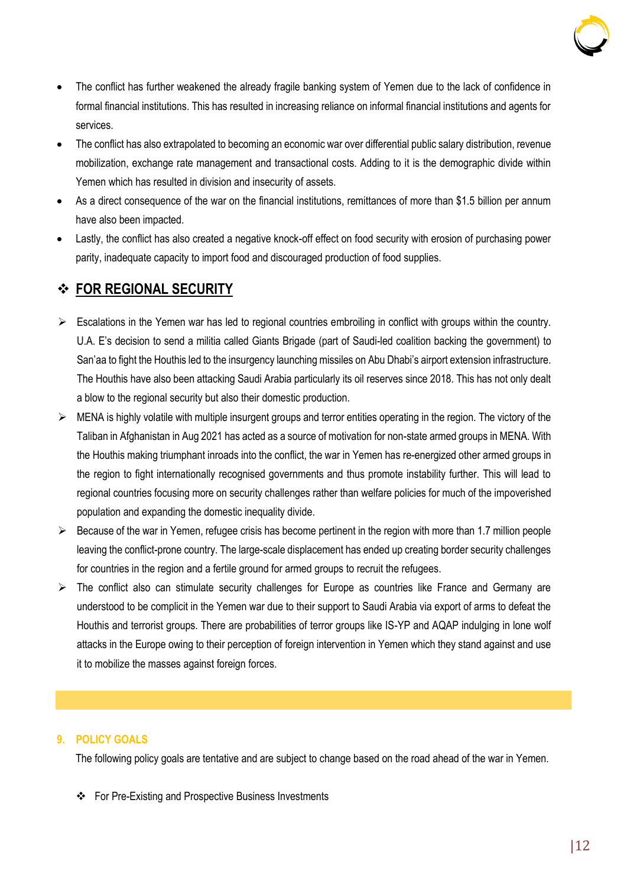

- The conflict has further weakened the already fragile banking system of Yemen due to the lack of confidence in formal financial institutions. This has resulted in increasing reliance on informal financial institutions and agents for services.
- The conflict has also extrapolated to becoming an economic war over differential public salary distribution, revenue mobilization, exchange rate management and transactional costs. Adding to it is the demographic divide within Yemen which has resulted in division and insecurity of assets.
- As a direct consequence of the war on the financial institutions, remittances of more than \$1.5 billion per annum have also been impacted.
- Lastly, the conflict has also created a negative knock-off effect on food security with erosion of purchasing power parity, inadequate capacity to import food and discouraged production of food supplies.

#### ❖ **FOR REGIONAL SECURITY**

- ➢ Escalations in the Yemen war has led to regional countries embroiling in conflict with groups within the country. U.A. E's decision to send a militia called Giants Brigade (part of Saudi-led coalition backing the government) to San'aa to fight the Houthis led to the insurgency launching missiles on Abu Dhabi's airport extension infrastructure. The Houthis have also been attacking Saudi Arabia particularly its oil reserves since 2018. This has not only dealt a blow to the regional security but also their domestic production.
- $\triangleright$  MENA is highly volatile with multiple insurgent groups and terror entities operating in the region. The victory of the Taliban in Afghanistan in Aug 2021 has acted as a source of motivation for non-state armed groups in MENA. With the Houthis making triumphant inroads into the conflict, the war in Yemen has re-energized other armed groups in the region to fight internationally recognised governments and thus promote instability further. This will lead to regional countries focusing more on security challenges rather than welfare policies for much of the impoverished population and expanding the domestic inequality divide.
- ➢ Because of the war in Yemen, refugee crisis has become pertinent in the region with more than 1.7 million people leaving the conflict-prone country. The large-scale displacement has ended up creating border security challenges for countries in the region and a fertile ground for armed groups to recruit the refugees.
- ➢ The conflict also can stimulate security challenges for Europe as countries like France and Germany are understood to be complicit in the Yemen war due to their support to Saudi Arabia via export of arms to defeat the Houthis and terrorist groups. There are probabilities of terror groups like IS-YP and AQAP indulging in lone wolf attacks in the Europe owing to their perception of foreign intervention in Yemen which they stand against and use it to mobilize the masses against foreign forces.

#### **9. POLICY GOALS**

The following policy goals are tentative and are subject to change based on the road ahead of the war in Yemen.

❖ For Pre-Existing and Prospective Business Investments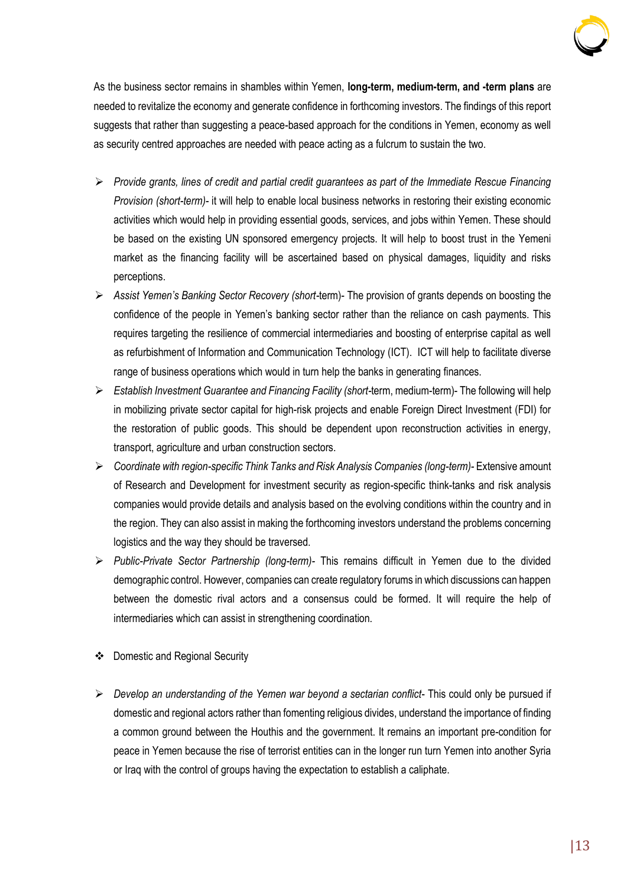

As the business sector remains in shambles within Yemen, **long-term, medium-term, and -term plans** are needed to revitalize the economy and generate confidence in forthcoming investors. The findings of this report suggests that rather than suggesting a peace-based approach for the conditions in Yemen, economy as well as security centred approaches are needed with peace acting as a fulcrum to sustain the two.

- ➢ *Provide grants, lines of credit and partial credit guarantees as part of the Immediate Rescue Financing Provision (short-term)-* it will help to enable local business networks in restoring their existing economic activities which would help in providing essential goods, services, and jobs within Yemen. These should be based on the existing UN sponsored emergency projects. It will help to boost trust in the Yemeni market as the financing facility will be ascertained based on physical damages, liquidity and risks perceptions.
- ➢ *Assist Yemen's Banking Sector Recovery (short-*term)- The provision of grants depends on boosting the confidence of the people in Yemen's banking sector rather than the reliance on cash payments. This requires targeting the resilience of commercial intermediaries and boosting of enterprise capital as well as refurbishment of Information and Communication Technology (ICT). ICT will help to facilitate diverse range of business operations which would in turn help the banks in generating finances.
- ➢ *Establish Investment Guarantee and Financing Facility (short-*term, medium-term)- The following will help in mobilizing private sector capital for high-risk projects and enable Foreign Direct Investment (FDI) for the restoration of public goods. This should be dependent upon reconstruction activities in energy, transport, agriculture and urban construction sectors.
- ➢ *Coordinate with region-specific Think Tanks and Risk Analysis Companies (long-term)-* Extensive amount of Research and Development for investment security as region-specific think-tanks and risk analysis companies would provide details and analysis based on the evolving conditions within the country and in the region. They can also assist in making the forthcoming investors understand the problems concerning logistics and the way they should be traversed.
- ➢ *Public-Private Sector Partnership (long-term)-* This remains difficult in Yemen due to the divided demographic control. However, companies can create regulatory forums in which discussions can happen between the domestic rival actors and a consensus could be formed. It will require the help of intermediaries which can assist in strengthening coordination.
- ❖ Domestic and Regional Security
- ➢ *Develop an understanding of the Yemen war beyond a sectarian conflict* This could only be pursued if domestic and regional actors rather than fomenting religious divides, understand the importance of finding a common ground between the Houthis and the government. It remains an important pre-condition for peace in Yemen because the rise of terrorist entities can in the longer run turn Yemen into another Syria or Iraq with the control of groups having the expectation to establish a caliphate.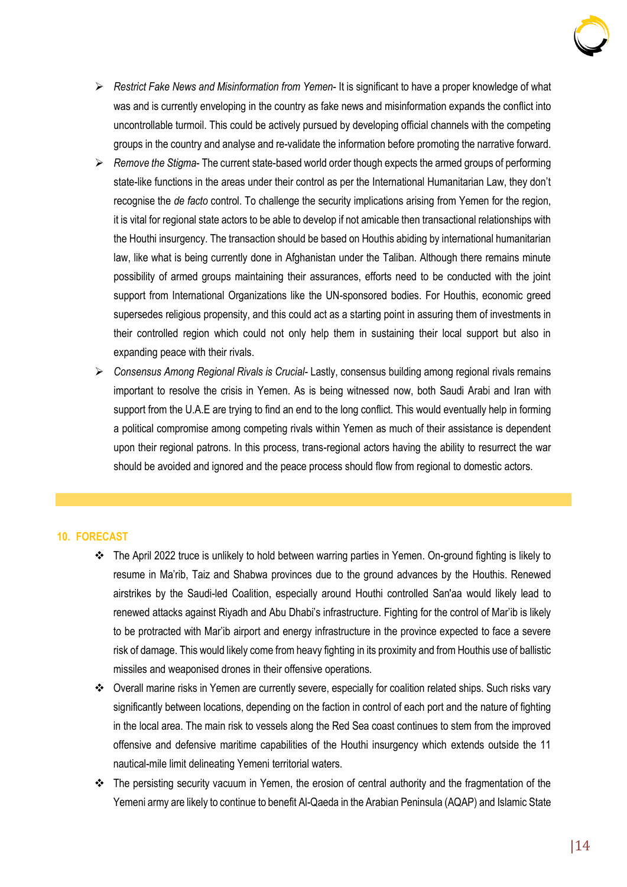

- ➢ *Restrict Fake News and Misinformation from Yemen* It is significant to have a proper knowledge of what was and is currently enveloping in the country as fake news and misinformation expands the conflict into uncontrollable turmoil. This could be actively pursued by developing official channels with the competing groups in the country and analyse and re-validate the information before promoting the narrative forward.
- ➢ *Remove the Stigma* The current state-based world order though expects the armed groups of performing state-like functions in the areas under their control as per the International Humanitarian Law, they don't recognise the *de facto* control. To challenge the security implications arising from Yemen for the region, it is vital for regional state actors to be able to develop if not amicable then transactional relationships with the Houthi insurgency. The transaction should be based on Houthis abiding by international humanitarian law, like what is being currently done in Afghanistan under the Taliban. Although there remains minute possibility of armed groups maintaining their assurances, efforts need to be conducted with the joint support from International Organizations like the UN-sponsored bodies. For Houthis, economic greed supersedes religious propensity, and this could act as a starting point in assuring them of investments in their controlled region which could not only help them in sustaining their local support but also in expanding peace with their rivals.
- ➢ *Consensus Among Regional Rivals is Crucial* Lastly, consensus building among regional rivals remains important to resolve the crisis in Yemen. As is being witnessed now, both Saudi Arabi and Iran with support from the U.A.E are trying to find an end to the long conflict. This would eventually help in forming a political compromise among competing rivals within Yemen as much of their assistance is dependent upon their regional patrons. In this process, trans-regional actors having the ability to resurrect the war should be avoided and ignored and the peace process should flow from regional to domestic actors.

#### **10. FORECAST**

- ❖ The April 2022 truce is unlikely to hold between warring parties in Yemen. On-ground fighting is likely to resume in Ma'rib, Taiz and Shabwa provinces due to the ground advances by the Houthis. Renewed airstrikes by the Saudi-led Coalition, especially around Houthi controlled San'aa would likely lead to renewed attacks against Riyadh and Abu Dhabi's infrastructure. Fighting for the control of Mar'ib is likely to be protracted with Mar'ib airport and energy infrastructure in the province expected to face a severe risk of damage. This would likely come from heavy fighting in its proximity and from Houthis use of ballistic missiles and weaponised drones in their offensive operations.
- ❖ Overall marine risks in Yemen are currently severe, especially for coalition related ships. Such risks vary significantly between locations, depending on the faction in control of each port and the nature of fighting in the local area. The main risk to vessels along the Red Sea coast continues to stem from the improved offensive and defensive maritime capabilities of the Houthi insurgency which extends outside the 11 nautical-mile limit delineating Yemeni territorial waters.
- ❖ The persisting security vacuum in Yemen, the erosion of central authority and the fragmentation of the Yemeni army are likely to continue to benefit Al-Qaeda in the Arabian Peninsula (AQAP) and Islamic State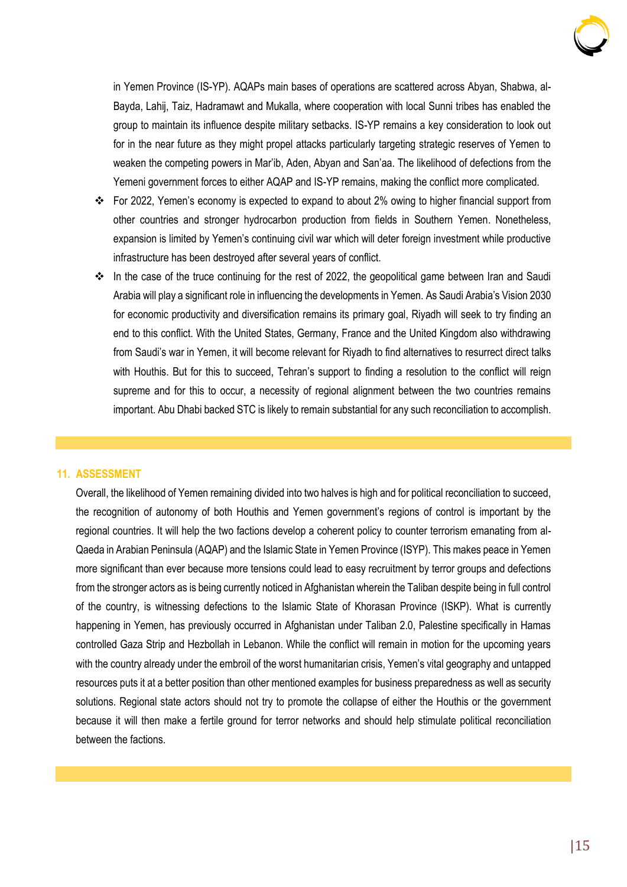

in Yemen Province (IS-YP). AQAPs main bases of operations are scattered across Abyan, Shabwa, al-Bayda, Lahij, Taiz, Hadramawt and Mukalla, where cooperation with local Sunni tribes has enabled the group to maintain its influence despite military setbacks. IS-YP remains a key consideration to look out for in the near future as they might propel attacks particularly targeting strategic reserves of Yemen to weaken the competing powers in Mar'ib, Aden, Abyan and San'aa. The likelihood of defections from the Yemeni government forces to either AQAP and IS-YP remains, making the conflict more complicated.

- ❖ For 2022, Yemen's economy is expected to expand to about 2% owing to higher financial support from other countries and stronger hydrocarbon production from fields in Southern Yemen. Nonetheless, expansion is limited by Yemen's continuing civil war which will deter foreign investment while productive infrastructure has been destroyed after several years of conflict.
- ❖ In the case of the truce continuing for the rest of 2022, the geopolitical game between Iran and Saudi Arabia will play a significant role in influencing the developments in Yemen. As Saudi Arabia's Vision 2030 for economic productivity and diversification remains its primary goal, Riyadh will seek to try finding an end to this conflict. With the United States, Germany, France and the United Kingdom also withdrawing from Saudi's war in Yemen, it will become relevant for Riyadh to find alternatives to resurrect direct talks with Houthis. But for this to succeed, Tehran's support to finding a resolution to the conflict will reign supreme and for this to occur, a necessity of regional alignment between the two countries remains important. Abu Dhabi backed STC is likely to remain substantial for any such reconciliation to accomplish.

#### **11. ASSESSMENT**

Overall, the likelihood of Yemen remaining divided into two halves is high and for political reconciliation to succeed, the recognition of autonomy of both Houthis and Yemen government's regions of control is important by the regional countries. It will help the two factions develop a coherent policy to counter terrorism emanating from al-Qaeda in Arabian Peninsula (AQAP) and the Islamic State in Yemen Province (ISYP). This makes peace in Yemen more significant than ever because more tensions could lead to easy recruitment by terror groups and defections from the stronger actors as is being currently noticed in Afghanistan wherein the Taliban despite being in full control of the country, is witnessing defections to the Islamic State of Khorasan Province (ISKP). What is currently happening in Yemen, has previously occurred in Afghanistan under Taliban 2.0, Palestine specifically in Hamas controlled Gaza Strip and Hezbollah in Lebanon. While the conflict will remain in motion for the upcoming years with the country already under the embroil of the worst humanitarian crisis, Yemen's vital geography and untapped resources puts it at a better position than other mentioned examples for business preparedness as well as security solutions. Regional state actors should not try to promote the collapse of either the Houthis or the government because it will then make a fertile ground for terror networks and should help stimulate political reconciliation between the factions.